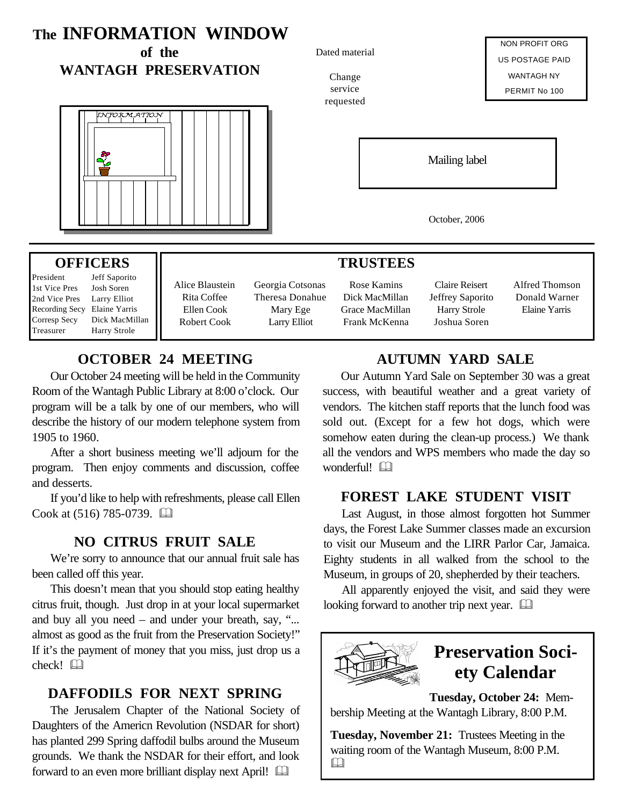#### **The INFORMATION WINDOW** NON PROFIT ORG **of the** Dated material US POSTAGE PAID **WANTAGH PRESERVATION** WANTAGH NY Change service PERMIT No 100 requested NJORMATION Mailing label October, 2006 **OFFICERS TRUSTEES** President Jeff Saporito Alice Blaustein Georgia Cotsonas Rose Kamins Claire Reisert Alfred Thomson 1st Vice Pres Josh Soren Rita Coffee Donald Warner Theresa Donahue Dick MacMillan Jeffrey Saporito 2nd Vice Pres Larry Elliot Ellen Cook Elaine Yarris

Mary Ege Larry Elliot

## **OCTOBER 24 MEETING**

Robert Cook

Recording Secy Elaine Yarris Corresp Secy Dick MacMillan Treasurer Harry Strole

Our October 24 meeting will be held in the Community Room of the Wantagh Public Library at 8:00 o'clock. Our program will be a talk by one of our members, who will describe the history of our modern telephone system from 1905 to 1960.

After a short business meeting we'll adjourn for the program. Then enjoy comments and discussion, coffee and desserts.

If you'd like to help with refreshments, please call Ellen Cook at  $(516)$  785-0739.  $\Box$ 

### **NO CITRUS FRUIT SALE**

We're sorry to announce that our annual fruit sale has been called off this year.

This doesn't mean that you should stop eating healthy citrus fruit, though. Just drop in at your local supermarket and buy all you need – and under your breath, say, "... almost as good as the fruit from the Preservation Society!" If it's the payment of money that you miss, just drop us a check! &

### **DAFFODILS FOR NEXT SPRING**

The Jerusalem Chapter of the National Society of Daughters of the Americn Revolution (NSDAR for short) has planted 299 Spring daffodil bulbs around the Museum grounds. We thank the NSDAR for their effort, and look forward to an even more brilliant display next April!

# **AUTUMN YARD SALE**

Harry Strole Joshua Soren

Our Autumn Yard Sale on September 30 was a great success, with beautiful weather and a great variety of vendors. The kitchen staff reports that the lunch food was sold out. (Except for a few hot dogs, which were somehow eaten during the clean-up process.) We thank all the vendors and WPS members who made the day so wonderful!

### **FOREST LAKE STUDENT VISIT**

Last August, in those almost forgotten hot Summer days, the Forest Lake Summer classes made an excursion to visit our Museum and the LIRR Parlor Car, Jamaica. Eighty students in all walked from the school to the Museum, in groups of 20, shepherded by their teachers.

All apparently enjoyed the visit, and said they were looking forward to another trip next year.  $\Box$ 



Grace MacMillan Frank McKenna

# **Preservation Society Calendar**

**Tuesday, October 24:** Membership Meeting at the Wantagh Library, 8:00 P.M.

**Tuesday, November 21:** Trustees Meeting in the waiting room of the Wantagh Museum, 8:00 P.M. &